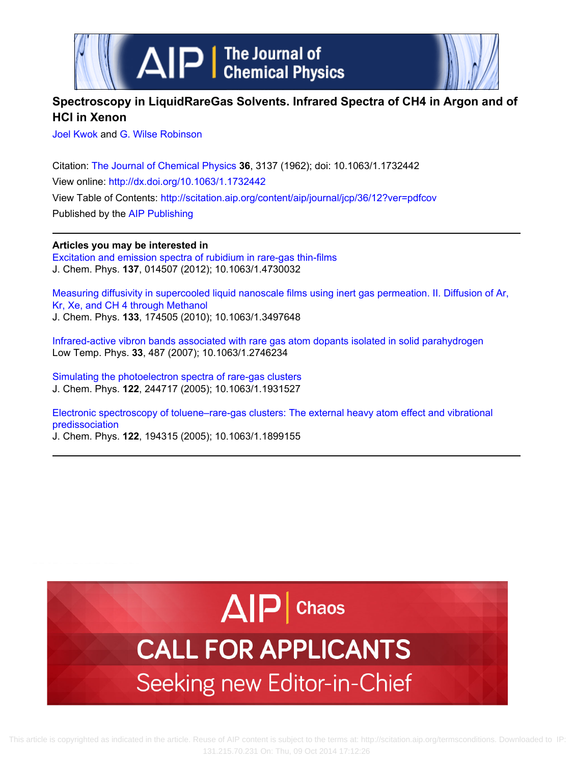

# **Spectroscopy in LiquidRareGas Solvents. Infrared Spectra of CH4 in Argon and of HCl in Xenon**

[Joel Kwok](http://scitation.aip.org/search?value1=Joel+Kwok&option1=author) and [G. Wilse Robinson](http://scitation.aip.org/search?value1=G.+Wilse+Robinson&option1=author)

Citation: [The Journal of Chemical Physics](http://scitation.aip.org/content/aip/journal/jcp?ver=pdfcov) **36**, 3137 (1962); doi: 10.1063/1.1732442 View online:<http://dx.doi.org/10.1063/1.1732442> View Table of Contents: <http://scitation.aip.org/content/aip/journal/jcp/36/12?ver=pdfcov> Published by the [AIP Publishing](http://scitation.aip.org/content/aip?ver=pdfcov)

## **Articles you may be interested in**

[Excitation and emission spectra of rubidium in rare-gas thin-films](http://scitation.aip.org/content/aip/journal/jcp/137/1/10.1063/1.4730032?ver=pdfcov) J. Chem. Phys. **137**, 014507 (2012); 10.1063/1.4730032

[Measuring diffusivity in supercooled liquid nanoscale films using inert gas permeation. II. Diffusion of Ar,](http://scitation.aip.org/content/aip/journal/jcp/133/17/10.1063/1.3497648?ver=pdfcov) [Kr, Xe, and CH 4 through Methanol](http://scitation.aip.org/content/aip/journal/jcp/133/17/10.1063/1.3497648?ver=pdfcov) J. Chem. Phys. **133**, 174505 (2010); 10.1063/1.3497648

[Infrared-active vibron bands associated with rare gas atom dopants isolated in solid parahydrogen](http://scitation.aip.org/content/aip/journal/ltp/33/6/10.1063/1.2746234?ver=pdfcov) Low Temp. Phys. **33**, 487 (2007); 10.1063/1.2746234

[Simulating the photoelectron spectra of rare-gas clusters](http://scitation.aip.org/content/aip/journal/jcp/122/24/10.1063/1.1931527?ver=pdfcov) J. Chem. Phys. **122**, 244717 (2005); 10.1063/1.1931527

[Electronic spectroscopy of toluene–rare-gas clusters: The external heavy atom effect and vibrational](http://scitation.aip.org/content/aip/journal/jcp/122/19/10.1063/1.1899155?ver=pdfcov) [predissociation](http://scitation.aip.org/content/aip/journal/jcp/122/19/10.1063/1.1899155?ver=pdfcov)

J. Chem. Phys. **122**, 194315 (2005); 10.1063/1.1899155

# $\Delta$  $|P|$  Chaos **CALL FOR APPLICANTS**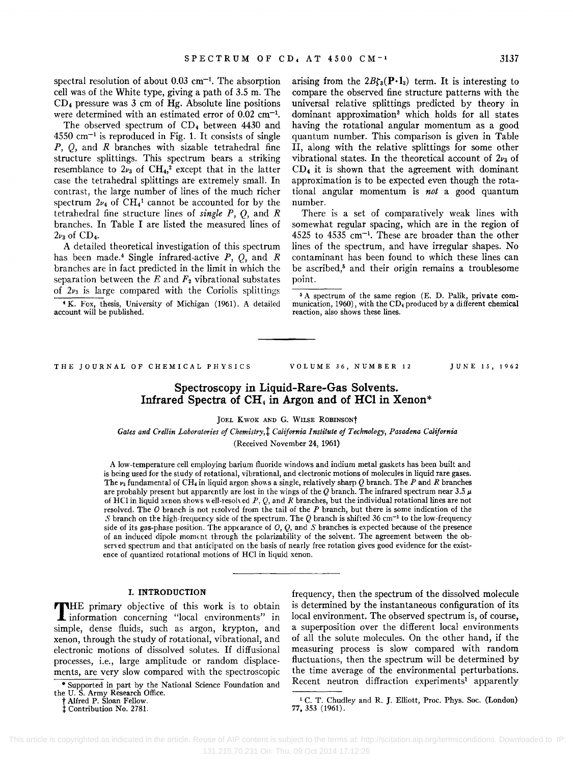spectral resolution of about  $0.03 \text{ cm}^{-1}$ . The absorption cell was of the White type, giving a path of 3.5 m. The CD4 pressure was 3 cm of Hg. Absolute line positions were determined with an estimated error of 0.02 cm<sup>-1</sup>.

The observed spectrum of CD<sub>4</sub> between 4430 and  $4550$  cm<sup>-1</sup> is reproduced in Fig. 1. It consists of single  $P$ ,  $Q$ , and  $R$  branches with sizable tetrahedral fine structure splittings. This spectrum bears a striking resemblance to  $2v_3$  of  $\text{CH}_4$ ,<sup>2</sup> except that in the latter case the tetrahedral splittings are extremely small. In contrast, the large number of lines of the much richer spectrum  $2\nu_4$  of CH<sub>4</sub><sup>1</sup> cannot be accounted for by the tetrahedral fine structure lines of *single P,* Q, and *R*  branches. In Table I are listed the measured lines of  $2\nu_3$  of CD<sub>4</sub>.

A detailed theoretical investigation of this spectrum has been made.4 Single infrared-active *P,* Q, and *R*  branches are in fact predicted in the limit in which the separation between the  $E$  and  $F_2$  vibrational substates of  $2\nu_3$  is large compared with the Coriolis splittings

'K. Fox, thesis, University of Michigan (1961). A detailed account will be published.

arising from the  $2B\zeta_3(P \cdot 1_3)$  term. It is interesting to compare the observed fine structure patterns with the universal relative splittings predicted by theory in dominant approximation3 which holds for all states having the rotational angular momentum as a good quantum number. This comparison is given in Table II, along with the relative splittings for some other vibrational states. In the theoretical account of  $2v<sub>3</sub>$  of  $CD<sub>4</sub>$  it is shown that the agreement with dominant approximation is to be expected even though the rotational angular momentum is *not* a good quantum number.

There is a set of comparatively weak lines with somewhat regular spacing, which are in the region of 4525 to 4535 em-I. These are broader than the other lines of the spectrum, and have irregular shapes. No contaminant has been found to which these lines can be ascribed,<sup>5</sup> and their origin remains a troublesome point.

5 A spectrum of the same region (E. D. Palik, private communication, 1960), with the  $CD<sub>4</sub>$  produced by a different chemical reaction, also shows these lines.

THE JOURNAL OF CHEMICAL PHYSICS

VOLUME 36, NUMBER 12 JUNE 15, 1962

## Spectroscopy in Liquid-Rare-Gas Solvents. Infrared Spectra of CH<sub>4</sub> in Argon and of HCl in Xenon<sup>\*</sup>

JOEL KWOK AND G. WILSE ROBINSONT

*Gates and Crellin Laboratories of Chemistry,t California Institute of Technology, Pasadena California*  (Received November 24, 1961)

A low-temperature cell employing barium fluoride windows and indium metal gaskets has been built and is being used for the study of rotational, vibrational, and electronic motions of molecules in liquid rare gases. The Va fundamental of CH, in liquid argon shows a single, relatively sharp *Q* branch. The *P* and *R* branches are probably present but apparently are lost in the wings of the Q branch. The infrared spectrum near 3.5  $\mu$ of H Cl in liquid xenon shows" ell-resoh ed *P,* Q, and *R* branches, but the individual rotational lines are not resolved. The  $O$  branch is not resolved from the tail of the  $P$  branch, but there is some indication of the *S* branch on the high-frequency side of the spectrum. The *Q* branch is shifted 36 cm<sup>-1</sup> to the low-frequency side of its gas-phase position. The appearance of  $O, O$ , and S branches is expected because of the presence of an induced dipole moment through the polarizability of the solvent. The agreement between the observed spectrum and that anticipated on the basis of nearly free rotation gives good evidence for the existence of quantized rotational motions of HCI in liquid xenon.

#### I. INTRODUCTION

THE primary objective of this work is to obtain information concerning "local environments" in simple, dense fluids, such as argon, krypton, and xenon, through the study of rotational, vibrational, and electronic motions of dissolved solutes. If diffusional processes, i.e., large amplitude or random displacements, are very slow compared with the spectroscopic

\* Supported in part by the National Science Foundation and

frequency, then the spectrum of the dissolved molecule is determined by the instantaneous configuration of its local environment. The observed spectrum is, of course, a superposition over the different local environments of all the solute molecules. On the other hand, if the measuring process is slow compared with random fluctuations, then the spectrum will be determined by the time average of the environmental perturbations. Recent neutron diffraction experiments' apparently

the U. S. Army Research Office. t Alfred P. Sloan Fellow.

t Contribution No. 2781.

<sup>1</sup> C. T. Chudley and R. J. Elliott, Proc. Phys. Soc. (London) 77, 353 (1961).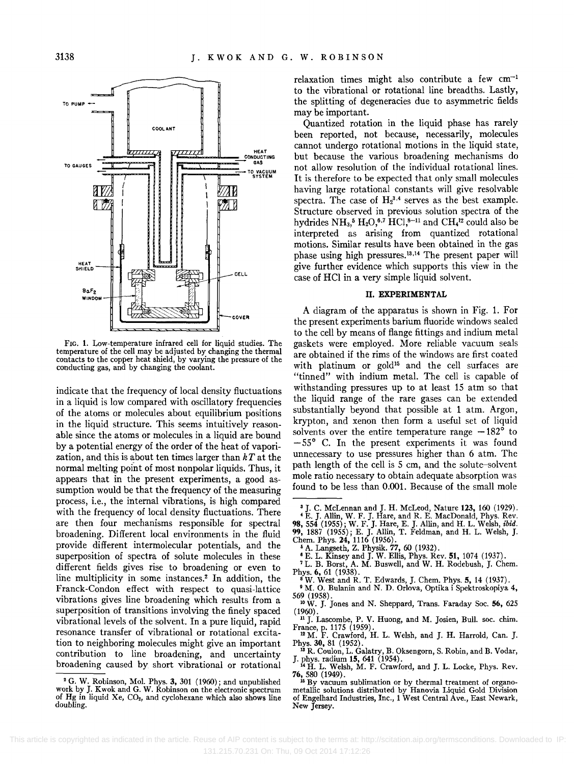

FIG. 1. Low-temperature infrared cell for liquid studies. The temperature of the cell may be adjusted by changing the thermal contacts to the copper heat shield, by varying the pressure of the conducting gas, and by changing the coolant.

indicate that the frequency of local density fluctuations in a liquid is low compared with oscillatory frequencies of the atoms or molecules about equilibrium positions in the liquid structure. This seems intuitively reasonable since the atoms or molecules in a liquid are bound by a potential energy of the order of the heat of vaporization, and this is about ten times larger than *kT* at the normal melting point of most nonpolar liquids. Thus, it appears that in the present experiments, a good assumption would be that the frequency of the measuring process, i.e., the internal vibrations, is high compared with the frequency of local density fluctuations. There are then four mechanisms responsible for spectral broadening. Different local environments in the fluid provide different intermolecular potentials, and the superposition of spectra of solute molecules in these different fields gives rise to broadening or even to line multiplicity in some instances.2 In addition, the Franck-Condon effect with respect to quasi-lattice vibrations gives line broadening which results from a superposition of transitions involving the finely spaced vibrational levels of the solvent. In a pure liquid, rapid resonance transfer of vibrational or rotational excitation to neighboring molecules might give an important contribution to line broadening, and uncertainty broadening caused by short vibrational or rotational

relaxation times might also contribute a few  $cm^{-1}$ to the vibrational or rotational line breadths. Lastly, the splitting of degeneracies due to asymmetric fields may be important.

Quantized rotation in the liquid phase has rarely been reported, not because, necessarily, molecules cannot undergo rotational motions in the liquid state, but because the various broadening mechanisms do not allow resolution of the individual rotational lines. It is therefore to be expected that only small molecules having large rotational constants will give resolvable spectra. The case of  $H_2^{3,4}$  serves as the best example. Structure observed in previous solution spectra of the hydrides  $NH<sub>3</sub>$ <sup>5</sup> H<sub>2</sub>O<sub>,</sub><sup>6,7</sup> HCl<sub>,</sub><sup>8-11</sup> and CH<sub>4</sub><sup>12</sup> could also be interpreted as arising from quantized rotational motions. Similar results have been obtained in the gas phase using high pressures.<sup>13,14</sup> The present paper will give further evidence which supports this view in the case of HCI in a very simple liquid solvent.

#### II. EXPERIMENTAL

A diagram of the apparatus is shown in Fig. 1. For the present experiments barium fluoride windows sealed to the cell by means of flange fittings and indium metal gaskets were employed. More reliable vacuum seals are obtained if the rims of the windows are first coated with platinum or gold<sup>15</sup> and the cell surfaces are "tinned" with indium metal. The cell is capable of withstanding pressures up to at least 15 atm so that the liquid range of the rare gases can be extended substantially beyond that possible at 1 atm. Argon, krypton, and xenon then form a useful set of liquid solvents over the entire temperature range  $-182^{\circ}$  to  $-55^{\circ}$  C. In the present experiments it was found unnecessary to use pressures higher than 6 atm. The path length of the cell is 5 cm, and the solute-solvent mole ratio necessary to obtain adequate absorption was found to be less than 0.001. Because of the small mole

- 
- <sup>6</sup> E. L. Kinsey and J. W. Ellis, Phys. Rev. 51, 1074 (1937). <sup>7</sup> L. B. Borst, A. M. Buswell, and W. H. Rodebush, J. Chem. Phys. **6**, 61 (1938).

 $\textbf{N}$ W. West and R. T. Edwards, J. Chem. Phys. 5, 14 (1937). <br> $\textbf{N}$  M. O. Bulanin and N. D. Orlova, Optika i Spektroskopiya 4,

 $10 \text{ W}$ . J. Jones and N. Sheppard, Trans. Faraday Soc. 56, 625 (1960).

<sup>11</sup> J. Lascombe, P. V. Huong, and M. Josien, Bull. soc. chim. France, p. 1175 (1959). 12 M. F. Crawford, H. L. Welsh, and J. H. Harrold, Can. J.

Phys. 30, 81 (1952). 13 R. Coulon, L. Galatry, B. Oksengorn, S. Robin, and B. Vodar,

J. phys. radium 15, 641 (1954).<br><sup>14</sup> H. L. Welsh, M. F. Crawford, and J. L. Locke, Phys. Rev.

76, 580 (1949).<br><sup>16</sup> By vacuum sublimation or by thermal treatment of organo-

metallic solutions distributed by Hanovia Liquid Gold Division of Engelhard Industries, Inc., 1 West Central Ave., East Newark, New Jersey.

<sup>2</sup> G. W. Robinson, Mol. Phys. 3, 301 (1960); and unpublished work by J. Kwok and G. W. Robinson on the electronic spectrum of Hg in liquid Xe,  $CO<sub>2</sub>$ , and cyclohexane which also shows line doubling.

<sup>&</sup>lt;sup>3</sup> J. C. McLennan and J. H. McLeod, Nature 123, 160 (1929).<br>
<sup>4</sup> E. J. Allin, W. F. J. Hare, and R. E. MacDonald, Phys. Rev.<br> **98,** 554 (1955); W. F. J. Hare, E. J. Allin, and H. L. Welsh, *ibid.* 99, 1887 (1955); E. J. Allin, T. Feldman, and H. L. Welsh, J. Chern. Phys. 24, 1116 (1956).

<sup>569 (1958).</sup>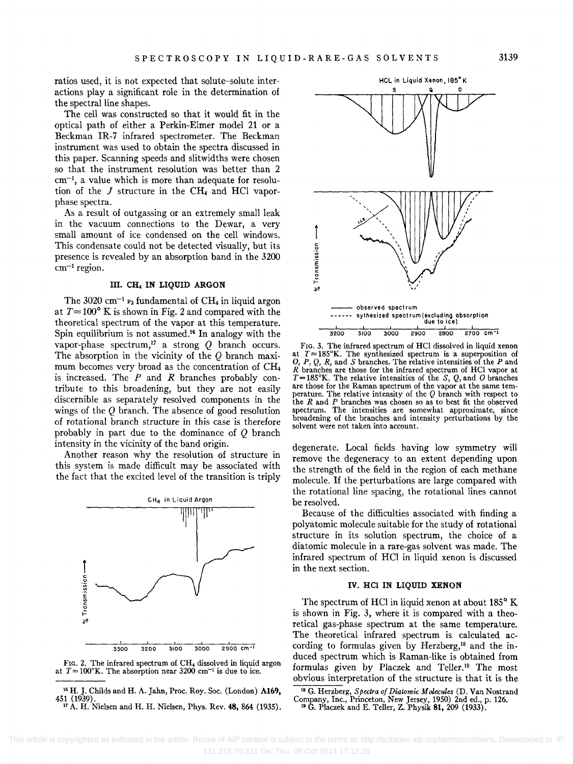ratios used, it is not expected that solute-solute interactions playa significant role in the determination of the spectral line shapes.

The cell was constructed so that it would fit in the optical path of either a Perkin-Elmer model 21 or a Beckman IR-7 infrared spectrometer. The Beckman instrument was used to obtain the spectra discussed in this paper. Scanning speeds and slitwidths were chosen so that the instrument resolution was better than 2  $cm^{-1}$ , a value which is more than adequate for resolution of the  $J$  structure in the CH<sub>4</sub> and HCl vaporphase spectra.

As a result of outgassing or an extremely small leak in the vacuum connections to the Dewar, a very small amount of ice condensed on the cell windows. This condensate could not be detected visually, but its presence is revealed by an absorption band in the 3200  $cm^{-1}$  region.

#### III. CH, **IN LIQUID ARGON**

The 3020 cm<sup>-1</sup>  $\nu_3$  fundamental of CH<sub>4</sub> in liquid argon at  $T \approx 100^{\circ}$  K is shown in Fig. 2 and compared with the theoretical spectrum of the vapor at this temperature. Spin equilibrium is not assumed.<sup>16</sup> In analogy with the vapor-phase spectrum,<sup>17</sup> a strong  $Q$  branch occurs. The absorption in the vicinity of the  $Q$  branch maximum becomes very broad as the concentration of  $CH<sub>4</sub>$ is increased. The *P* and *R* branches probably contribute to this broadening, but they are not easily discernible as separately resolved components in the wings of the Q branch. The absence of good resolution of rotational branch structure in this case is therefore probably in part due to the dominance of  $Q$  branch intensity in the vicinity of the band origin.

Another reason why the resolution of structure in this system is made difficult may be associated with the fact that the excited level of the transition is triply





<sup>16</sup> H. J. Childs and H. A. Jahn, Proc. Roy. Soc. (London) **A169, 451** (1939). <sup>17</sup> A. H. Nielsen and H. H. Nielsen, Phys. Rev. 48, 864 (1935).



FIG. 3. The infrared spectrum of HCI dissolved in liquid xenon at  $T \approx 185^\circ$ K. The synthesized spectrum is a superposition of O, P, Q, R, and S branches. The relative intensities of the P and  $R$  branches are those for the infrared spectrum of HCl vapor at  $T = 185^\circ$ K. The relative intensities of the S, Q, and O branches are those for the Raman spectrum of the vapor at the same temare those for the Raman spectrum of the vapor at the same temperature. The relative intensity of the  $Q$  branch with respect to the Rand *P* branches was chosen so as to best fit the observed spectrum. The intensities are somewhat approximate, since broadening of the branches and intensity perturbations by the solvent were not taken into account.

degenerate. Local fields having low symmetry will remove the degeneracy to an extent depending upon the strength of the field in the region of each methane molecule. If the perturbations are large compared with the rotational line spacing, the rotational lines cannot be resolved.

Because of the difficulties associated with finding a polyatomic molecule suitable for the study of rotational structure in its solution spectrum, the choice of a diatomic molecule in a rare-gas solvent was made. The infrared spectrum of HCI in liquid xenon is discussed in the next section.

#### **IV. HCI IN LIQUID XENON**

The spectrum of HCl in liquid xenon at about  $185^{\circ}$  K is shown in Fig. 3, where it is compared with a theoretical gas-phase spectrum at the same temperature. The theoretical infrared spectrum is calculated according to formulas given by Herzberg,<sup>18</sup> and the induced spectrum which is Raman-like is obtained from formulas given by Placzek and Teller.<sup>19</sup> The most obvious interpretation of the structure is that it is the

18 G. Herzberg, *Spectra of Diatomic Molecules* (D. Van Nostrand Company, Inc., Princeton, New Jersey, 1950) 2nd ed., p. 126. 19 G. Placzek and E. Teller, Z. Physik *81,209* (1933).